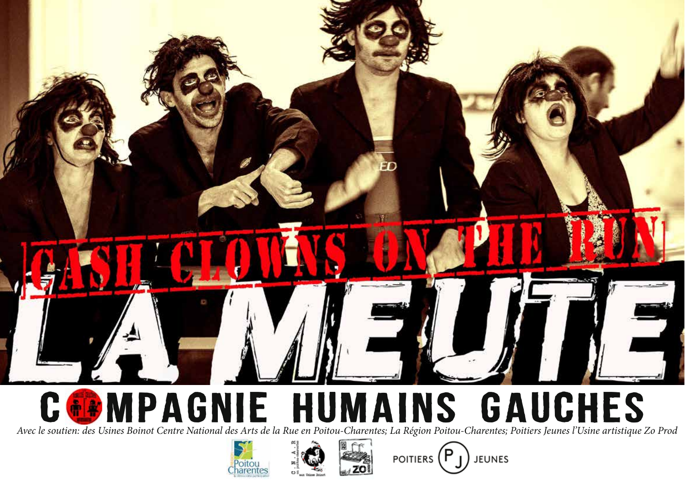